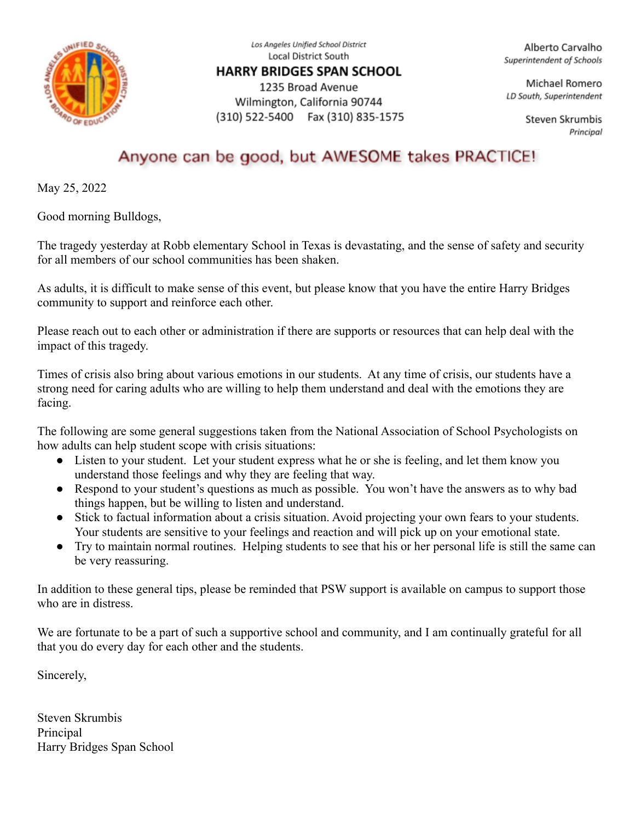

Los Angeles Unified School District Local District South

## **HARRY BRIDGES SPAN SCHOOL**

1235 Broad Avenue Wilmington, California 90744 (310) 522-5400 Fax (310) 835-1575

Alberto Carvalho Superintendent of Schools

Michael Romero LD South, Superintendent

> Steven Skrumbis Principal

## Anyone can be good, but AWESOME takes PRACTICE!

May 25, 2022

Good morning Bulldogs,

The tragedy yesterday at Robb elementary School in Texas is devastating, and the sense of safety and security for all members of our school communities has been shaken.

As adults, it is difficult to make sense of this event, but please know that you have the entire Harry Bridges community to support and reinforce each other.

Please reach out to each other or administration if there are supports or resources that can help deal with the impact of this tragedy.

Times of crisis also bring about various emotions in our students. At any time of crisis, our students have a strong need for caring adults who are willing to help them understand and deal with the emotions they are facing.

The following are some general suggestions taken from the National Association of School Psychologists on how adults can help student scope with crisis situations:

- Listen to your student. Let your student express what he or she is feeling, and let them know you understand those feelings and why they are feeling that way.
- Respond to your student's questions as much as possible. You won't have the answers as to why bad things happen, but be willing to listen and understand.
- Stick to factual information about a crisis situation. Avoid projecting your own fears to your students. Your students are sensitive to your feelings and reaction and will pick up on your emotional state.
- Try to maintain normal routines. Helping students to see that his or her personal life is still the same can be very reassuring.

In addition to these general tips, please be reminded that PSW support is available on campus to support those who are in distress.

We are fortunate to be a part of such a supportive school and community, and I am continually grateful for all that you do every day for each other and the students.

Sincerely,

Steven Skrumbis Principal Harry Bridges Span School